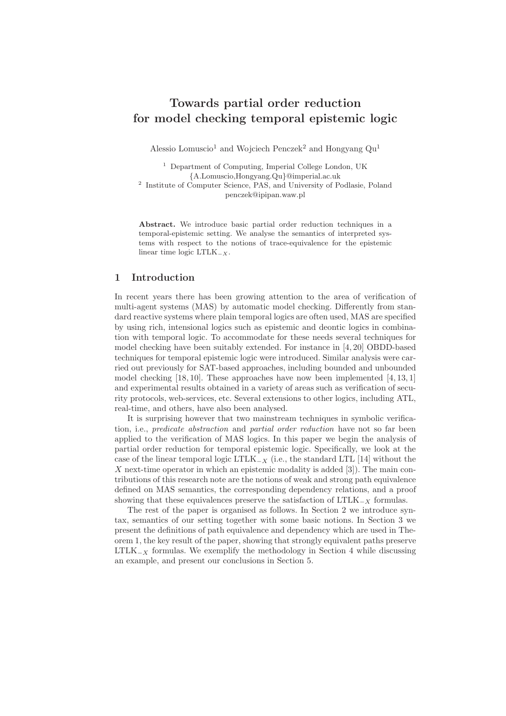# Towards partial order reduction for model checking temporal epistemic logic

Alessio Lomuscio<sup>1</sup> and Wojciech Penczek<sup>2</sup> and Hongyang  $Qu<sup>1</sup>$ 

<sup>1</sup> Department of Computing, Imperial College London, UK {A.Lomuscio,Hongyang.Qu}@imperial.ac.uk

2 Institute of Computer Science, PAS, and University of Podlasie, Poland penczek@ipipan.waw.pl

Abstract. We introduce basic partial order reduction techniques in a temporal-epistemic setting. We analyse the semantics of interpreted systems with respect to the notions of trace-equivalence for the epistemic linear time logic LTLK<sub>-X</sub>.

## 1 Introduction

In recent years there has been growing attention to the area of verification of multi-agent systems (MAS) by automatic model checking. Differently from standard reactive systems where plain temporal logics are often used, MAS are specified by using rich, intensional logics such as epistemic and deontic logics in combination with temporal logic. To accommodate for these needs several techniques for model checking have been suitably extended. For instance in [4, 20] OBDD-based techniques for temporal epistemic logic were introduced. Similar analysis were carried out previously for SAT-based approaches, including bounded and unbounded model checking  $[18, 10]$ . These approaches have now been implemented  $[4, 13, 1]$ and experimental results obtained in a variety of areas such as verification of security protocols, web-services, etc. Several extensions to other logics, including ATL, real-time, and others, have also been analysed.

It is surprising however that two mainstream techniques in symbolic verification, i.e., *predicate abstraction* and *partial order reduction* have not so far been applied to the verification of MAS logics. In this paper we begin the analysis of partial order reduction for temporal epistemic logic. Specifically, we look at the case of the linear temporal logic LTLK<sub> $-X$ </sub> (i.e., the standard LTL [14] without the X next-time operator in which an epistemic modality is added  $[3]$ . The main contributions of this research note are the notions of weak and strong path equivalence defined on MAS semantics, the corresponding dependency relations, and a proof showing that these equivalences preserve the satisfaction of  $LTLK_{X}$  formulas.

The rest of the paper is organised as follows. In Section 2 we introduce syntax, semantics of our setting together with some basic notions. In Section 3 we present the definitions of path equivalence and dependency which are used in Theorem 1, the key result of the paper, showing that strongly equivalent paths preserve LTLK $<sub>x</sub>$  formulas. We exemplify the methodology in Section 4 while discussing</sub> an example, and present our conclusions in Section 5.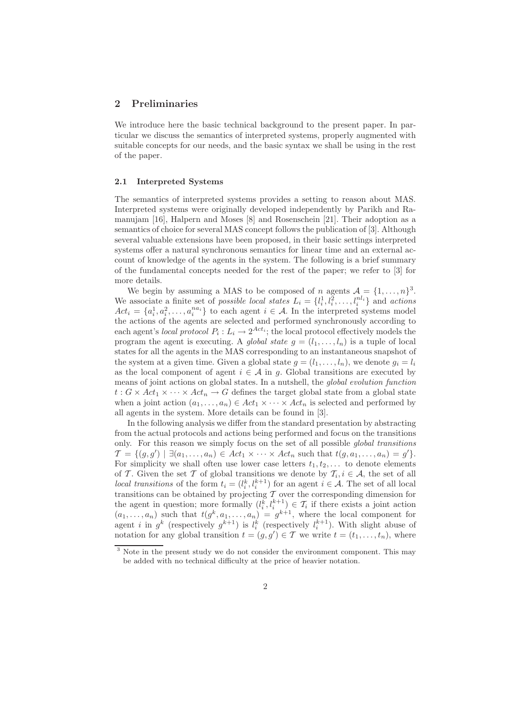### 2 Preliminaries

We introduce here the basic technical background to the present paper. In particular we discuss the semantics of interpreted systems, properly augmented with suitable concepts for our needs, and the basic syntax we shall be using in the rest of the paper.

#### 2.1 Interpreted Systems

The semantics of interpreted systems provides a setting to reason about MAS. Interpreted systems were originally developed independently by Parikh and Ramanujam [16], Halpern and Moses [8] and Rosenschein [21]. Their adoption as a semantics of choice for several MAS concept follows the publication of [3]. Although several valuable extensions have been proposed, in their basic settings interpreted systems offer a natural synchronous semantics for linear time and an external account of knowledge of the agents in the system. The following is a brief summary of the fundamental concepts needed for the rest of the paper; we refer to [3] for more details.

We begin by assuming a MAS to be composed of *n* agents  $A = \{1, \ldots, n\}^3$ . We associate a finite set of *possible local states*  $L_i = \{l_i^1, l_i^2, \ldots, l_i^{nl_i}\}\$  and *actions*  $Act_i = \{a_i^1, a_i^2, \ldots, a_i^{na_i}\}\$  to each agent  $i \in \mathcal{A}$ . In the interpreted systems model the actions of the agents are selected and performed synchronously according to each agent's *local protocol*  $P_i: L_i \to 2^{Act_i}$ ; the local protocol effectively models the program the agent is executing. A global state  $g = (l_1, \ldots, l_n)$  is a tuple of local states for all the agents in the MAS corresponding to an instantaneous snapshot of the system at a given time. Given a global state  $g = (l_1, \ldots, l_n)$ , we denote  $g_i = l_i$ as the local component of agent  $i \in \mathcal{A}$  in g. Global transitions are executed by means of joint actions on global states. In a nutshell, the global evolution function  $t: G \times Act_1 \times \cdots \times Act_n \rightarrow G$  defines the target global state from a global state when a joint action  $(a_1, \ldots, a_n) \in Act_1 \times \cdots \times Act_n$  is selected and performed by all agents in the system. More details can be found in [3].

In the following analysis we differ from the standard presentation by abstracting from the actual protocols and actions being performed and focus on the transitions only. For this reason we simply focus on the set of all possible global transitions  $\mathcal{T} = \{(g, g') \mid \exists (a_1, \ldots, a_n) \in \mathit{Act}_1 \times \cdots \times \mathit{Act}_n \text{ such that } t(g, a_1, \ldots, a_n) = g'\}.$ For simplicity we shall often use lower case letters  $t_1, t_2, \ldots$  to denote elements of T. Given the set T of global transitions we denote by  $\mathcal{T}_i, i \in \mathcal{A}$ , the set of all *local transitions* of the form  $t_i = (l_i^k, l_i^{k+1})$  for an agent  $i \in \mathcal{A}$ . The set of all local transitions can be obtained by projecting  $\mathcal T$  over the corresponding dimension for the agent in question; more formally  $(l_i^k, l_i^{k+1}) \in \mathcal{T}_i$  if there exists a joint action  $(a_1, \ldots, a_n)$  such that  $t(g^k, a_1, \ldots, a_n) = g^{k+1}$ , where the local component for agent *i* in  $g^k$  (respectively  $g^{k+1}$ ) is  $l_i^k$  (respectively  $l_i^{k+1}$ ). With slight abuse of notation for any global transition  $t = (g, g') \in \mathcal{T}$  we write  $t = (t_1, \ldots, t_n)$ , where

<sup>&</sup>lt;sup>3</sup> Note in the present study we do not consider the environment component. This may be added with no technical difficulty at the price of heavier notation.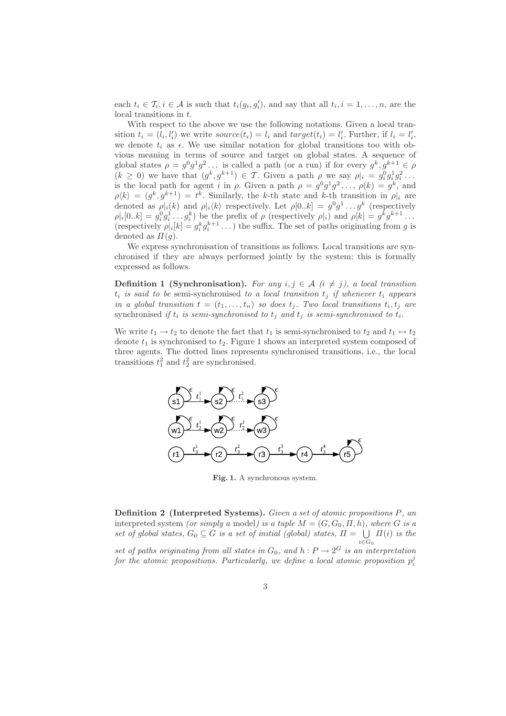each  $t_i \in \mathcal{T}_i, i \in \mathcal{A}$  is such that  $t_i(g_i, g'_i)$ , and say that all  $t_i, i = 1, \ldots, n$ , are the local transitions in t.

With respect to the above we use the following notations. Given a local transition  $t_i = (l_i, l'_i)$  we write  $source(t_i) = l_i$  and  $target(t_i) = l'_i$ . Further, if  $l_i = l'_i$ , we denote  $t_i$  as  $\epsilon$ . We use similar notation for global transitions too with obvious meaning in terms of source and target on global states. A sequence of global states  $\rho = g^0 g^1 g^2 \dots$  is called a path (or a run) if for every  $g^k, g^{k+1} \in \rho$  $(k \geq 0)$  we have that  $(g^k, g^{k+1}) \in \mathcal{T}$ . Given a path  $\rho$  we say  $\rho|_i = g_i^0 g_i^1 g_i^2 \dots$ is the local path for agent i in  $\rho$ . Given a path  $\rho = g^0 g^1 g^2 \dots$ ,  $\rho(k) = g^k$ , and  $\rho\langle k \rangle = (g^k, g^{k+1}) = t^k$ . Similarly, the k-th state and k-th transition in  $\rho|_i$  are denoted as  $\rho|_i(k)$  and  $\rho|_i(k)$  respectively. Let  $\rho[0..k] = g^0 g^1 \dots g^k$  (respectively  $\rho |i[0..k] = g_i^0 g_i^1 \dots g_i^k$  be the prefix of  $\rho$  (respectively  $\rho |i\rangle$  and  $\rho |k] = g^k g^{k+1} \dots$ (respectively  $\rho|_i[k] = g_i^k g_i^{k+1} \dots$ ) the suffix. The set of paths originating from g is denoted as  $\Pi(q)$ .

We express synchronisation of transitions as follows. Local transitions are synchronised if they are always performed jointly by the system; this is formally expressed as follows.

**Definition 1 (Synchronisation).** For any  $i, j \in \mathcal{A}$  ( $i \neq j$ ), a local transition  $t_i$  is said to be semi-synchronised to a local transition  $t_j$  if whenever  $t_i$  appears in a global transition  $t = (t_1, \ldots, t_n)$  so does  $t_j$ . Two local transitions  $t_i, t_j$  are synchronised if  $t_i$  is semi-synchronised to  $t_i$  and  $t_j$  is semi-synchronised to  $t_i$ .

We write  $t_1 \rightarrow t_2$  to denote the fact that  $t_1$  is semi-synchronised to  $t_2$  and  $t_1 \leftrightarrow t_2$ denote  $t_1$  is synchronised to  $t_2$ . Figure 1 shows an interpreted system composed of three agents. The dotted lines represents synchronised transitions, i.e., the local transitions  $t_1^2$  and  $t_2^2$  are synchronised.



Fig. 1. A synchronous system.

Definition 2 (Interpreted Systems). Given a set of atomic propositions P, an interpreted system (or simply a model) is a tuple  $M = (G, G_0, \Pi, h)$ , where G is a set of global states,  $G_0 \subseteq G$  is a set of initial (global) states,  $\Pi = \bigcup$  $i \in G_0$  $\Pi(i)$  is the set of paths originating from all states in  $G_0$ , and  $h: P \to 2^G$  is an interpretation for the atomic propositions. Particularly, we define a local atomic proposition  $p_i^j$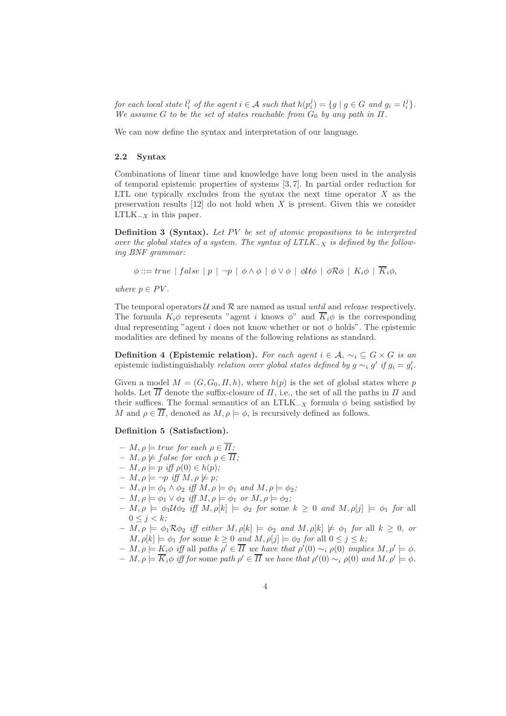for each local state  $l_i^j$  of the agent  $i \in \mathcal{A}$  such that  $h(p_i^j) = \{g \mid g \in G \text{ and } g_i = l_i^j\}.$ We assume G to be the set of states reachable from  $G_0$  by any path in  $\Pi$ .

We can now define the syntax and interpretation of our language.

#### 2.2 Syntax

Combinations of linear time and knowledge have long been used in the analysis of temporal epistemic properties of systems [3, 7]. In partial order reduction for LTL one typically excludes from the syntax the next time operator  $X$  as the preservation results  $[12]$  do not hold when X is present. Given this we consider  $LTLK_{-X}$  in this paper.

Definition 3 (Syntax). Let PV be set of atomic propositions to be interpreted over the global states of a system. The syntax of  $LTLK_{-X}$  is defined by the following BNF grammar:

 $\phi ::= true \mid false \mid p \mid \neg p \mid \phi \wedge \phi \mid \phi \vee \phi \mid \phi \mathcal{U} \phi \mid \phi \mathcal{R} \phi \mid K_i \phi \mid \overline{K_i} \phi,$ 

where  $p \in PV$ .

The temporal operators  $U$  and  $R$  are named as usual until and release respectively. The formula  $K_i\phi$  represents "agent i knows  $\phi$ " and  $\overline{K}_i\phi$  is the corresponding dual representing "agent i does not know whether or not  $\phi$  holds". The epistemic modalities are defined by means of the following relations as standard.

**Definition 4 (Epistemic relation).** For each agent  $i \in \mathcal{A}$ ,  $\sim_i \subseteq G \times G$  is an epistemic indistinguishably *relation over global states defined by*  $g \sim_i g'$  *if*  $g_i = g'_i$ .

Given a model  $M = (G, G_0, \Pi, h)$ , where  $h(p)$  is the set of global states where p holds. Let  $\overline{\Pi}$  denote the suffix-closure of  $\Pi$ , i.e., the set of all the paths in  $\Pi$  and their suffices. The formal semantics of an LTLK<sub>-X</sub> formula  $\phi$  being satisfied by M and  $\rho \in \overline{\Pi}$ , denoted as  $M, \rho \models \phi$ , is recursively defined as follows.

#### Definition 5 (Satisfaction).

- $M, \rho \models true \text{ for each } \rho \in \overline{\Pi};$
- $M, \rho \not\models false$  for each  $\rho \in \overline{H}$ ;
- $M, \rho \models p \text{ iff } \rho(0) \in h(p);$
- $M, \rho \models \neg p \text{ iff } M, \rho \not\models p;$
- $M, \rho \models \phi_1 \land \phi_2 \text{ iff } M, \rho \models \phi_1 \text{ and } M, \rho \models \phi_2;$
- $M, \rho \models \phi_1 \lor \phi_2 \iff M, \rho \models \phi_1 \text{ or } M, \rho \models \phi_2;$
- $M, \rho \models \phi_1 \mathcal{U} \phi_2 \text{ iff } M, \rho[k] \models \phi_2 \text{ for some } k \geq 0 \text{ and } M, \rho[j] \models \phi_1 \text{ for all } j \in [n]$  $0 \leq j < k;$
- $M, \rho \models \phi_1 \mathcal{R} \phi_2$  iff either  $M, \rho[k] \models \phi_2$  and  $M, \rho[k] \not\models \phi_1$  for all  $k \geq 0$ , or  $M, \rho[k] \models \phi_1$  for some  $k \geq 0$  and  $M, \rho[j] \models \phi_2$  for all  $0 \leq j \leq k$ ;
- $M, \rho \models K_i \phi$  iff all paths  $\rho' \in \overline{\Pi}$  we have that  $\rho'(0) \sim_i \rho(0)$  implies  $M, \rho' \models \phi$ .
- $M, \rho \models \overline{K}_i \phi$  iff for some path  $\rho' \in \overline{\Pi}$  we have that  $\rho'(0) \sim_i \rho(0)$  and  $M, \rho' \models \phi$ .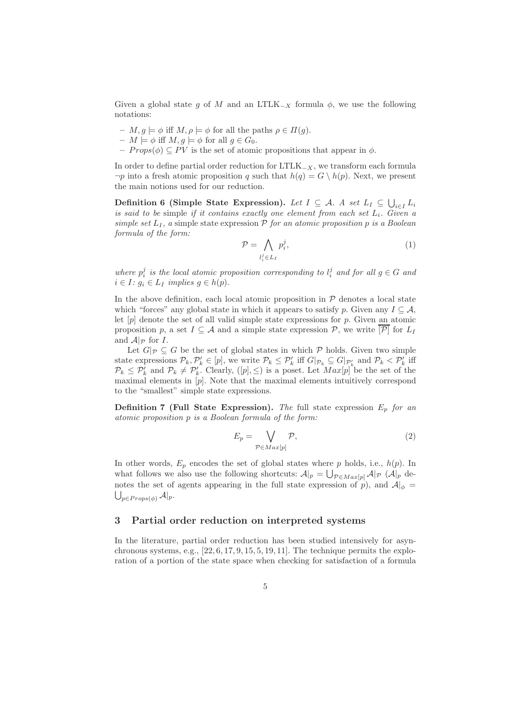Given a global state g of M and an LTLK<sub>-X</sub> formula  $\phi$ , we use the following notations:

- $-M, g \models \phi$  iff  $M, \rho \models \phi$  for all the paths  $\rho \in \Pi(g)$ .
- $M \models \phi$  iff  $M, g \models \phi$  for all  $g \in G_0$ .
- $-$  Props( $\phi$ )  $\subseteq PV$  is the set of atomic propositions that appear in  $\phi$ .

In order to define partial order reduction for  $LTLK_{-X}$ , we transform each formula  $\neg p$  into a fresh atomic proposition q such that  $h(q) = G \setminus h(p)$ . Next, we present the main notions used for our reduction.

Definition 6 (Simple State Expression). Let  $I \subseteq A$ . A set  $L_I \subseteq \bigcup_{i \in I} L_i$ is said to be simple if it contains exactly one element from each set  $L_i$ . Given a simple set  $L_I$ , a simple state expression  $P$  for an atomic proposition p is a Boolean formula of the form:

$$
\mathcal{P} = \bigwedge_{l_i^j \in L_I} p_i^j,\tag{1}
$$

where  $p_i^j$  is the local atomic proposition corresponding to  $l_i^j$  and for all  $g \in G$  and  $i \in I: g_i \in L_I$  implies  $g \in h(p)$ .

In the above definition, each local atomic proposition in  $P$  denotes a local state which "forces" any global state in which it appears to satisfy p. Given any  $I \subseteq A$ , let  $[p]$  denote the set of all valid simple state expressions for  $p$ . Given an atomic proposition p, a set  $I \subseteq \mathcal{A}$  and a simple state expression  $\mathcal{P}$ , we write  $[\mathcal{P}]$  for  $L_I$ and  $\mathcal{A}|_{\mathcal{P}}$  for I.

Let  $G|_{\mathcal{P}} \subseteq G$  be the set of global states in which  $\mathcal P$  holds. Given two simple state expressions  $\mathcal{P}_k, \mathcal{P}'_k \in [p]$ , we write  $\mathcal{P}_k \leq \mathcal{P}'_k$  iff  $G|_{\mathcal{P}_k} \subseteq G|_{\mathcal{P}'_k}$  and  $\mathcal{P}_k < \mathcal{P}'_k$  iff  $\mathcal{P}_k \leq \mathcal{P}'_k$  and  $\mathcal{P}_k \neq \mathcal{P}'_k$ . Clearly,  $([p], \leq)$  is a poset. Let  $Max[p]$  be the set of the maximal elements in [p]. Note that the maximal elements intuitively correspond to the "smallest" simple state expressions.

**Definition 7 (Full State Expression).** The full state expression  $E_p$  for an atomic proposition p is a Boolean formula of the form:

$$
E_p = \bigvee_{\mathcal{P} \in Max[p]} \mathcal{P},\tag{2}
$$

In other words,  $E_p$  encodes the set of global states where p holds, i.e.,  $h(p)$ . In what follows we also use the following shortcuts:  $\mathcal{A}|_p = \bigcup_{\mathcal{P} \in Max[p]} \mathcal{A}|_{\mathcal{P}}$  ( $\mathcal{A}|_p$  denotes the set of agents appearing in the full state expression of  $p$ ), and  $A|_{\phi} =$  $\bigcup_{p\in Props(\phi)}\mathcal{A}|_p.$ 

## 3 Partial order reduction on interpreted systems

In the literature, partial order reduction has been studied intensively for asynchronous systems, e.g.,  $[22, 6, 17, 9, 15, 5, 19, 11]$ . The technique permits the exploration of a portion of the state space when checking for satisfaction of a formula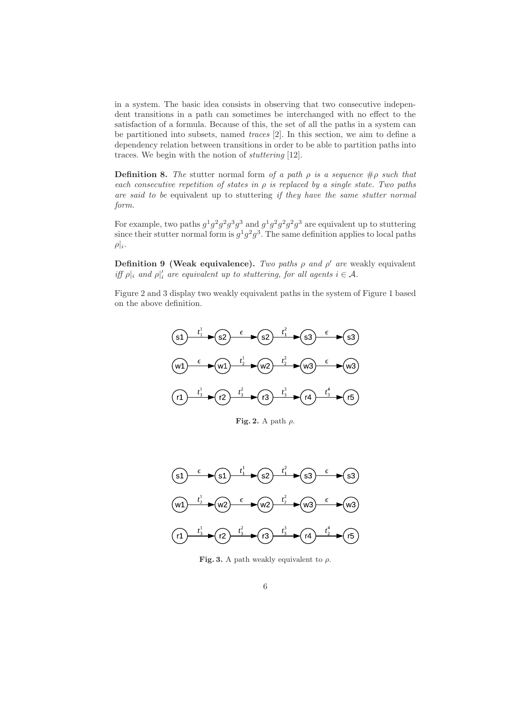in a system. The basic idea consists in observing that two consecutive independent transitions in a path can sometimes be interchanged with no effect to the satisfaction of a formula. Because of this, the set of all the paths in a system can be partitioned into subsets, named traces [2]. In this section, we aim to define a dependency relation between transitions in order to be able to partition paths into traces. We begin with the notion of stuttering [12].

**Definition 8.** The stutter normal form of a path  $\rho$  is a sequence  $\#\rho$  such that each consecutive repetition of states in  $\rho$  is replaced by a single state. Two paths are said to be equivalent up to stuttering if they have the same stutter normal form.

For example, two paths  $g^1g^2g^2g^3g^3$  and  $g^1g^2g^2g^2g^3$  are equivalent up to stuttering since their stutter normal form is  $g^1g^2g^3$ . The same definition applies to local paths  $\rho|_i.$ 

**Definition 9 (Weak equivalence).** Two paths  $\rho$  and  $\rho'$  are weakly equivalent iff  $\rho|_i$  and  $\rho|'_i$  are equivalent up to stuttering, for all agents  $i \in \mathcal{A}$ .

Figure 2 and 3 display two weakly equivalent paths in the system of Figure 1 based on the above definition.



Fig. 2. A path  $\rho$ .



Fig. 3. A path weakly equivalent to  $\rho$ .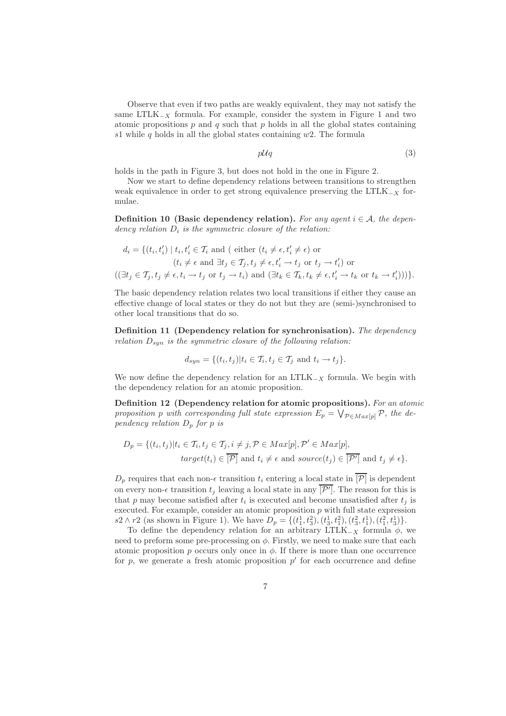Observe that even if two paths are weakly equivalent, they may not satisfy the same LTLK<sub> $-X$ </sub> formula. For example, consider the system in Figure 1 and two atomic propositions  $p$  and  $q$  such that  $p$  holds in all the global states containing s1 while q holds in all the global states containing  $w2$ . The formula

 $p\mathcal{U}q$  (3)

holds in the path in Figure 3, but does not hold in the one in Figure 2.

Now we start to define dependency relations between transitions to strengthen weak equivalence in order to get strong equivalence preserving the LTLK $_{-X}$  formulae.

**Definition 10** (Basic dependency relation). For any agent  $i \in A$ , the dependency relation  $D_i$  is the symmetric closure of the relation:

$$
d_i = \{ (t_i, t'_i) \mid t_i, t'_i \in \mathcal{T}_i \text{ and } (\text{ either } (t_i \neq \epsilon, t'_i \neq \epsilon) \text{ or } (t_i \neq \epsilon \text{ and } \exists t_j \in \mathcal{T}_j, t_j \neq \epsilon, t'_i \rightarrow t_j \text{ or } t_j \rightarrow t'_i) \text{ or } ((\exists t_j \in \mathcal{T}_j, t_j \neq \epsilon, t_i \rightarrow t_j \text{ or } t_j \rightarrow t_i) \text{ and } (\exists t_k \in \mathcal{T}_k, t_k \neq \epsilon, t'_i \rightarrow t_k \text{ or } t_k \rightarrow t'_i)) ) \}.
$$

The basic dependency relation relates two local transitions if either they cause an effective change of local states or they do not but they are (semi-)synchronised to other local transitions that do so.

Definition 11 (Dependency relation for synchronisation). The dependency relation  $D_{syn}$  is the symmetric closure of the following relation:

$$
d_{syn} = \{(t_i, t_j) | t_i \in \mathcal{T}_i, t_j \in \mathcal{T}_j \text{ and } t_i \to t_j \}.
$$

We now define the dependency relation for an LTLK<sub> $-X$ </sub> formula. We begin with the dependency relation for an atomic proposition.

Definition 12 (Dependency relation for atomic propositions). For an atomic proposition p with corresponding full state expression  $E_p = \bigvee_{\mathcal{P} \in Max[p]} \mathcal{P}$ , the dependency relation  $D_p$  for p is

$$
D_p = \{(t_i, t_j) | t_i \in T_i, t_j \in T_j, i \neq j, \mathcal{P} \in Max[p], \mathcal{P}' \in Max[p],
$$
  

$$
target(t_i) \in \overline{[\mathcal{P}]} \text{ and } t_i \neq \epsilon \text{ and } source(t_j) \in \overline{[\mathcal{P}']} \text{ and } t_j \neq \epsilon \}.
$$

 $D_p$  requires that each non- $\epsilon$  transition  $t_i$  entering a local state in  $\overline{|\mathcal{P}|}$  is dependent on every non- $\epsilon$  transition  $t_j$  leaving a local state in any  $[\mathcal{P}']$ . The reason for this is that p may become satisfied after  $t_i$  is executed and become unsatisfied after  $t_j$  is executed. For example, consider an atomic proposition  $p$  with full state expression s2 ∧ r2 (as shown in Figure 1). We have  $D_p = \{(t_1^1, t_3^2), (t_3^1, t_1^2), (t_3^2, t_1^1), (t_1^2, t_3^1)\}.$ 

To define the dependency relation for an arbitrary LTLK<sub>-X</sub> formula  $\phi$ , we need to preform some pre-processing on  $\phi$ . Firstly, we need to make sure that each atomic proposition p occurs only once in  $\phi$ . If there is more than one occurrence for  $p$ , we generate a fresh atomic proposition  $p'$  for each occurrence and define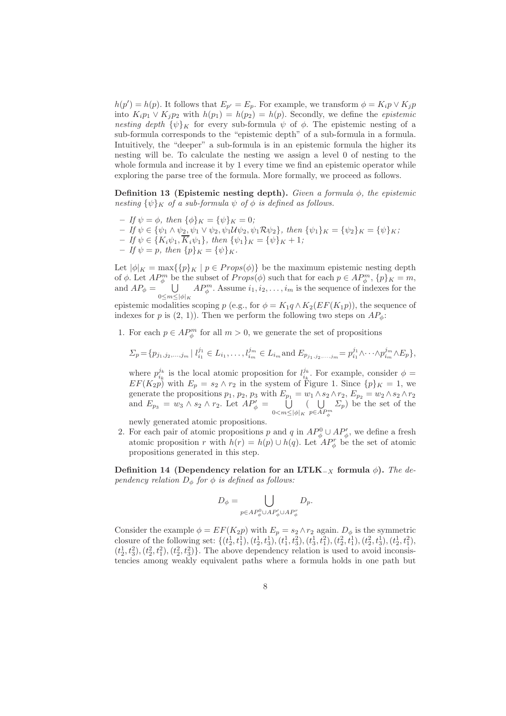$h(p') = h(p)$ . It follows that  $E_{p'} = E_p$ . For example, we transform  $\phi = K_i p \vee K_j p$ into  $K_i p_1 \vee K_j p_2$  with  $h(p_1) = h(p_2) = h(p)$ . Secondly, we define the *epistemic* nesting depth  $\{\psi\}_K$  for every sub-formula  $\psi$  of  $\phi$ . The epistemic nesting of a sub-formula corresponds to the "epistemic depth" of a sub-formula in a formula. Intuitively, the "deeper" a sub-formula is in an epistemic formula the higher its nesting will be. To calculate the nesting we assign a level 0 of nesting to the whole formula and increase it by 1 every time we find an epistemic operator while exploring the parse tree of the formula. More formally, we proceed as follows.

Definition 13 (Epistemic nesting depth). Given a formula  $\phi$ , the epistemic nesting  $\{\psi\}_K$  of a sub-formula  $\psi$  of  $\phi$  is defined as follows.

- If  $\psi = \phi$ , then  $\{\phi\}_K = \{\psi\}_K = 0$ ;
- $-If \psi \in {\psi_1 \wedge \psi_2, \psi_1 \vee \psi_2, \psi_1 \mathcal{U} \psi_2, \psi_1 \mathcal{R} \psi_2}, \text{ then } {\psi_1}_K = {\psi_2}_K = {\psi_K};$
- $If \psi \in \{K_i\psi_1, K_i\psi_1\}, then \{\psi_1\}_K = \{\psi\}_K + 1;$
- If  $\psi = p$ , then  $\{p\}_K = {\psi\}_K$ .

Let  $|\phi|_K = \max({p}_K | p \in Props(\phi)$  be the maximum epistemic nesting depth of  $\phi$ . Let  $AP_{\phi}^{m}$  be the subset of  $Props(\phi)$  such that for each  $p \in AP_{\phi}^{m}$ ,  $\{p\}_{K} = m$ , and  $AP_{\phi} = \cup$  $0 \leq m \leq |\phi|_K$  $AP_{\phi}^{m}$ . Assume  $i_1, i_2, \ldots, i_m$  is the sequence of indexes for the

epistemic modalities scoping p (e.g., for  $\phi = K_1 q \wedge K_2(EF(K_1 p))$ , the sequence of indexes for p is  $(2, 1)$ . Then we perform the following two steps on  $AP_{\phi}$ :

1. For each  $p \in AP_{\phi}^{m}$  for all  $m > 0$ , we generate the set of propositions

$$
\Sigma_p = \{p_{j_1, j_2, \dots, j_m} \mid l_{i_1}^{j_1} \in L_{i_1}, \dots, l_{i_m}^{j_m} \in L_{i_m} \text{ and } E_{p_{j_1, j_2, \dots, j_m}} = p_{i_1}^{j_1} \wedge \dots \wedge p_{i_m}^{j_m} \wedge E_p \},
$$

where  $p_{i_k}^{j_k}$  is the local atomic proposition for  $l_{i_k}^{j_k}$ . For example, consider  $\phi =$  $EF(K_2p)$  with  $E_p = s_2 \wedge r_2$  in the system of Figure 1. Since  $\{p\}_K = 1$ , we generate the propositions  $p_1, p_2, p_3$  with  $E_{p_1} = w_1 \wedge s_2 \wedge r_2$ ,  $E_{p_2} = w_2 \wedge s_2 \wedge r_2$ and  $E_{p_3} = w_3 \wedge s_2 \wedge r_2$ . Let  $AP'_\phi = \bigcup$  $0 \leq m \leq |\phi|_K$  $($   $\cup$  $p\in AP^m_\phi$  $\Sigma_p$ ) be the set of the

newly generated atomic propositions.

2. For each pair of atomic propositions p and q in  $AP_{\phi}^{0} \cup AP_{\phi}'$ , we define a fresh atomic proposition r with  $h(r) = h(p) \cup h(q)$ . Let  $AP_{\phi}^{r}$  be the set of atomic propositions generated in this step.

Definition 14 (Dependency relation for an LTLK<sub>-X</sub> formula  $\phi$ ). The dependency relation  $D_{\phi}$  for  $\phi$  is defined as follows:

$$
D_{\phi} = \bigcup_{p \in AP_{\phi}^0 \cup AP_{\phi}' \cup AP_{\phi}^r} D_p.
$$

Consider the example  $\phi = EF(K_2p)$  with  $E_p = s_2 \wedge r_2$  again.  $D_\phi$  is the symmetric closure of the following set:  $\{(t_2^1, t_1^1), (t_2^1, t_3^1), (t_1^1, t_3^2), (t_3^1, t_1^2), (t_2^2, t_1^1), (t_2^2, t_3^1), (t_2^1, t_1^2),$  $(t_2^1, t_3^2), (t_2^2, t_1^2), (t_2^2, t_3^2)$ . The above dependency relation is used to avoid inconsistencies among weakly equivalent paths where a formula holds in one path but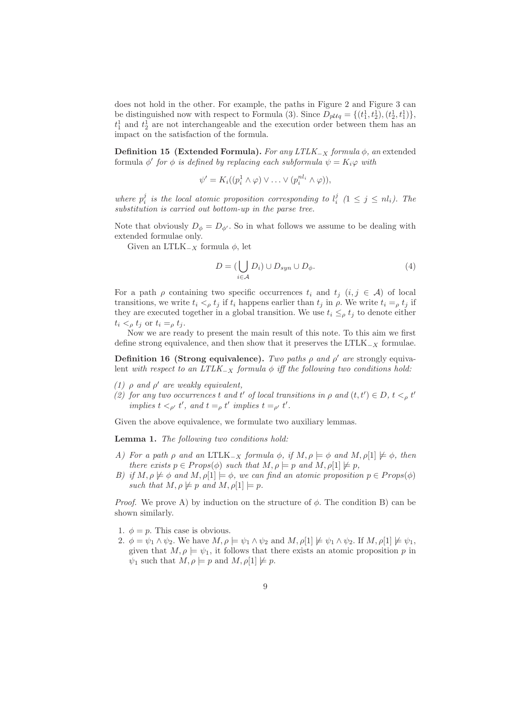does not hold in the other. For example, the paths in Figure 2 and Figure 3 can be distinguished now with respect to Formula (3). Since  $D_{p\mathcal{U}q} = \{(t_1^1, t_2^1), (t_2^1, t_1^1)\},$  $t_1^1$  and  $t_2^1$  are not interchangeable and the execution order between them has an impact on the satisfaction of the formula.

Definition 15 (Extended Formula). For any LTLK<sub>-X</sub> formula  $\phi$ , an extended formula  $\phi'$  for  $\phi$  is defined by replacing each subformula  $\psi = K_i \varphi$  with

$$
\psi' = K_i((p_i^1 \wedge \varphi) \vee \ldots \vee (p_i^{nl_i} \wedge \varphi)),
$$

where  $p_i^j$  is the local atomic proposition corresponding to  $l_i^j$  ( $1 \leq j \leq nl_i$ ). The substitution is carried out bottom-up in the parse tree.

Note that obviously  $D_{\phi} = D_{\phi'}$ . So in what follows we assume to be dealing with extended formulae only.

Given an LTLK<sub>-X</sub> formula  $\phi$ , let

$$
D = (\bigcup_{i \in \mathcal{A}} D_i) \cup D_{syn} \cup D_{\phi}.
$$
 (4)

For a path  $\rho$  containing two specific occurrences  $t_i$  and  $t_j$   $(i, j \in \mathcal{A})$  of local transitions, we write  $t_i <_\rho t_j$  if  $t_i$  happens earlier than  $t_j$  in  $\rho$ . We write  $t_i =_\rho t_j$  if they are executed together in a global transition. We use  $t_i \leq_\rho t_j$  to denote either  $t_i <_\rho t_j$  or  $t_i =_\rho t_j$ .

Now we are ready to present the main result of this note. To this aim we first define strong equivalence, and then show that it preserves the LTLK $_{-X}$  formulae.

Definition 16 (Strong equivalence). Two paths  $\rho$  and  $\rho'$  are strongly equivalent with respect to an  $LTLK_{-X}$  formula  $\phi$  iff the following two conditions hold:

- (1)  $\rho$  and  $\rho'$  are weakly equivalent,
- (2) for any two occurrences t and t' of local transitions in  $\rho$  and  $(t, t') \in D$ ,  $t <_{\rho} t'$ implies  $t <_{\rho'} t'$ , and  $t =_{\rho} t'$  implies  $t =_{\rho'} t'$ .

Given the above equivalence, we formulate two auxiliary lemmas.

Lemma 1. The following two conditions hold:

- A) For a path ρ and an LTLK<sub>-X</sub> formula  $\phi$ , if  $M, \rho \models \phi$  and  $M, \rho[1] \not\models \phi$ , then there exists  $p \in Props(\phi)$  such that  $M, \rho \models p$  and  $M, \rho[1] \not\models p$ ,
- B) if  $M, \rho \not\models \phi$  and  $M, \rho[1] \models \phi$ , we can find an atomic proposition  $p \in Props(\phi)$ such that  $M, \rho \not\models p$  and  $M, \rho[1] \models p$ .

*Proof.* We prove A) by induction on the structure of  $\phi$ . The condition B) can be shown similarly.

- 1.  $\phi = p$ . This case is obvious.
- 2.  $\phi = \psi_1 \wedge \psi_2$ . We have  $M, \rho \models \psi_1 \wedge \psi_2$  and  $M, \rho[1] \not\models \psi_1 \wedge \psi_2$ . If  $M, \rho[1] \not\models \psi_1$ , given that  $M, \rho \models \psi_1$ , it follows that there exists an atomic proposition p in  $\psi_1$  such that  $M, \rho \models p$  and  $M, \rho[1] \not\models p$ .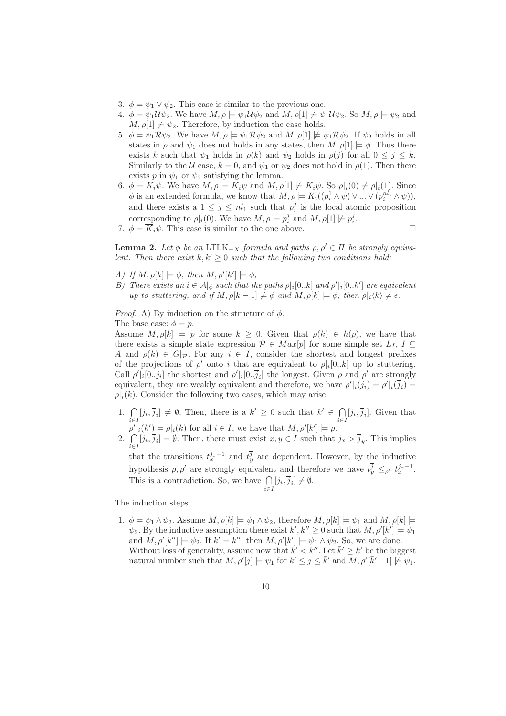- 3.  $\phi = \psi_1 \vee \psi_2$ . This case is similar to the previous one.
- 4.  $\phi = \psi_1 \mathcal{U} \psi_2$ . We have  $M, \rho \models \psi_1 \mathcal{U} \psi_2$  and  $M, \rho \not\models \psi_1 \mathcal{U} \psi_2$ . So  $M, \rho \models \psi_2$  and  $M, \rho[1] \not\models \psi_2$ . Therefore, by induction the case holds.
- 5.  $\phi = \psi_1 \mathcal{R} \psi_2$ . We have  $M, \rho \models \psi_1 \mathcal{R} \psi_2$  and  $M, \rho[1] \not\models \psi_1 \mathcal{R} \psi_2$ . If  $\psi_2$  holds in all states in  $\rho$  and  $\psi_1$  does not holds in any states, then  $M$ ,  $\rho[1] \models \phi$ . Thus there exists k such that  $\psi_1$  holds in  $\rho(k)$  and  $\psi_2$  holds in  $\rho(j)$  for all  $0 \leq j \leq k$ . Similarly to the U case,  $k = 0$ , and  $\psi_1$  or  $\psi_2$  does not hold in  $\rho(1)$ . Then there exists p in  $\psi_1$  or  $\psi_2$  satisfying the lemma.
- 6.  $\phi = K_i \psi$ . We have  $M, \rho \models K_i \psi$  and  $M, \rho[1] \not\models K_i \psi$ . So  $\rho|_i(0) \neq \rho|_i(1)$ . Since  $\phi$  is an extended formula, we know that  $M, \rho \models K_i((p_i^1 \wedge \psi) \vee ... \vee (p_i^{n_l_i} \wedge \psi)),$ and there exists a  $1 \leq j \leq nl_1$  such that  $p_i^j$  is the local atomic proposition corresponding to  $\rho |_{i}(0)$ . We have  $M, \rho \models p_{i}^{j}$  and  $M, \rho[1] \not\models p_{i}^{j}$ .
- 7.  $\phi = \overline{K}_i \psi$ . This case is similar to the one above.

**Lemma 2.** Let  $\phi$  be an LTLK<sub>-X</sub> formula and paths  $\rho, \rho' \in \Pi$  be strongly equivalent. Then there exist  $k, k' \geq 0$  such that the following two conditions hold:

- A) If  $M$ ,  $\rho[k] \models \phi$ , then  $M$ ,  $\rho'[k'] \models \phi$ ;
- B) There exists an  $i \in \mathcal{A}|_{\phi}$  such that the paths  $\rho |_{i} [0..k]$  and  $\rho' |_{i} [0..k']$  are equivalent up to stuttering, and if  $M$ ,  $\rho[k-1] \not\models \phi$  and  $M$ ,  $\rho[k] \models \phi$ , then  $\rho|_i\langle k \rangle \neq \epsilon$ .

*Proof.* A) By induction on the structure of  $\phi$ .

The base case:  $\phi = p$ .

Assume  $M, \rho[k] \models p$  for some  $k \geq 0$ . Given that  $\rho(k) \in h(p)$ , we have that there exists a simple state expression  $P \in Max[p]$  for some simple set  $L_I$ ,  $I \subseteq$ A and  $\rho(k) \in G|_{\mathcal{P}}$ . For any  $i \in I$ , consider the shortest and longest prefixes of the projections of  $\rho'$  onto i that are equivalent to  $\rho|_i[0..k]$  up to stuttering. Call  $\rho' | i[0..j_i]$  the shortest and  $\rho' | i[0..j_i]$  the longest. Given  $\rho$  and  $\rho'$  are strongly equivalent, they are weakly equivalent and therefore, we have  $\rho' | i(j_i) = \rho' | i(\bar{j}_i)$  $\rho_i(k)$ . Consider the following two cases, which may arise.

- 1.  $\bigcap$  $\bigcap_{i\in I} [j_i, \overline{j}_i] \neq \emptyset$ . Then, there is a  $k' \geq 0$  such that  $k' \in \bigcap_{i\in I}$  $\bigcap_{i\in I} [j_i, \overline{j}_i].$  Given that  $\rho' | i(k') = \rho | i(k)$  for all  $i \in I$ , we have that  $M, \rho' [k'] \models p$ .
- 2.  $\bigcap$  $\bigcap_{i\in I} [j_i, j_i] = \emptyset$ . Then, there must exist  $x, y \in I$  such that  $j_x > j_y$ . This implies that the transitions  $t_x^{j_x-1}$  and  $t_y^{\overline{j}}$  are dependent. However, by the inductive hypothesis  $\rho, \rho'$  are strongly equivalent and therefore we have  $t_y^{\overline{j}} \leq_{\rho'} t_x^{j_x-1}$ . This is a contradiction. So, we have  $\bigcap$  $\bigcap_{i\in I} [j_i, j_i] \neq \emptyset.$

The induction steps.

1.  $\phi = \psi_1 \wedge \psi_2$ . Assume  $M, \rho[k] \models \psi_1 \wedge \psi_2$ , therefore  $M, \rho[k] \models \psi_1$  and  $M, \rho[k] \models$  $\psi_2$ . By the inductive assumption there exist  $k', k'' \geq 0$  such that  $M, \rho'[k'] \models \psi_1$ and  $M, \rho'[k''] \models \psi_2$ . If  $k' = k''$ , then  $M, \rho'[k'] \models \psi_1 \wedge \psi_2$ . So, we are done. Without loss of generality, assume now that  $k' < k''$ . Let  $\bar{k}' \geq k'$  be the biggest natural number such that  $M, \rho'[j] \models \psi_1$  for  $k' \leq j \leq \bar{k}'$  and  $M, \rho'[\bar{k}'+1] \not\models \psi_1$ .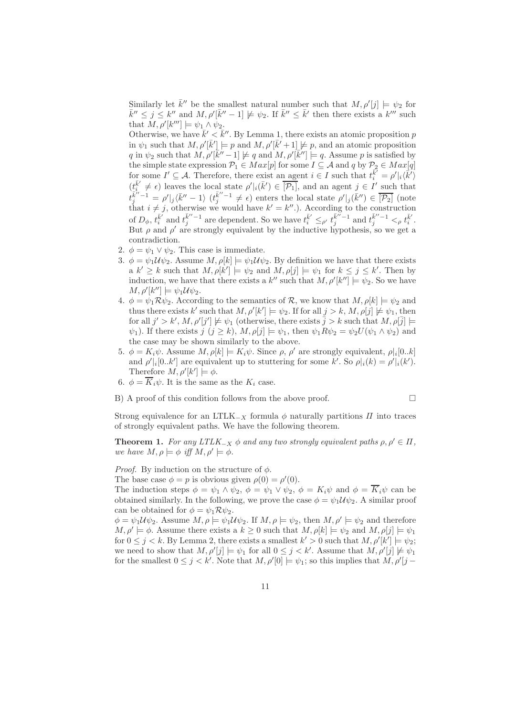Similarly let  $\bar{k}''$  be the smallest natural number such that  $M, \rho'[j] \models \psi_2$  for  $\bar{k}'' \leq j \leq k''$  and  $M, \rho'[\bar{k}'' - 1] \not\models \psi_2$ . If  $\bar{k}'' \leq \bar{k}'$  then there exists a  $k'''$  such that  $M, \rho'[k'''] \models \psi_1 \wedge \psi_2$ .

Otherwise, we have  $\bar{k}' < \bar{k}''$ . By Lemma 1, there exists an atomic proposition p in  $\psi_1$  such that  $M, \rho'[\bar{k}'] \models p$  and  $M, \rho'[\bar{k}'+1] \not\models p$ , and an atomic proposition q in  $\psi_2$  such that  $M, \rho'[\overline{k}'' - 1] \not\models q$  and  $M, \rho'[\overline{k}''] \models q$ . Assume p is satisfied by the simple state expression  $\mathcal{P}_1 \in Max[p]$  for some  $I \subseteq \mathcal{A}$  and q by  $\mathcal{P}_2 \in Max[q]$ for some  $I' \subseteq A$ . Therefore, there exist an agent  $i \in I$  such that  $t_i^{\vec{k'}} = \rho' \mid i \langle \vec{k'} \rangle$  $(t_{i}^{\overline{k}'} \neq \epsilon)$  leaves the local state  $\rho' \mid i(\overline{k}') \in \overline{[\mathcal{P}_1]}$ , and an agent  $j \in I'$  such that  $t_j^{\bar{k}''-1} = \rho' |j \langle \bar{k}'' - 1 \rangle \; (t_j^{\bar{k}''-1} \neq \epsilon)$  enters the local state  $\rho' |j \langle \bar{k}'' \rangle \in \overline{[P_2]}$  (note that  $i \neq j$ , otherwise we would have  $k' = k''$ .). According to the construction of  $D_{\phi}$ ,  $t_i^{\bar{k}'}$  and  $t_j^{\bar{k}''-1}$  are dependent. So we have  $t_i^{\bar{k}'} \leq_{\rho'} t_j^{\bar{k}''-1}$  and  $t_j^{\bar{k}''-1} <_{\rho} t_i^{\bar{k}'}$ . But  $\rho$  and  $\rho'$  are strongly equivalent by the inductive hypothesis, so we get a contradiction.

- 2.  $\phi = \psi_1 \vee \psi_2$ . This case is immediate.
- 3.  $\phi = \psi_1 \mathcal{U} \psi_2$ . Assume  $M, \rho[k] \models \psi_1 \mathcal{U} \psi_2$ . By definition we have that there exists a  $k' \geq k$  such that  $M, \rho[k'] \models \psi_2$  and  $M, \rho[j] \models \psi_1$  for  $k \leq j \leq k'$ . Then by induction, we have that there exists a  $k''$  such that  $M, \rho'[k''] \models \psi_2$ . So we have  $M, \rho'[k''] \models \psi_1 \mathcal{U} \psi_2.$
- 4.  $\phi = \psi_1 \mathcal{R} \psi_2$ . According to the semantics of  $\mathcal{R}$ , we know that  $M, \rho[k] \models \psi_2$  and thus there exists k' such that  $M$ ,  $\rho'[k'] \models \psi_2$ . If for all  $j > k$ ,  $M$ ,  $\rho[j] \not\models \psi_1$ , then for all  $j' > k'$ ,  $M$ ,  $\rho'[j'] \not\models \psi_1$  (otherwise, there exists  $\overline{j} > k$  such that  $M$ ,  $\rho[\overline{j}] \models$  $\psi_1$ ). If there exists  $j$   $(j \ge k)$ ,  $M$ ,  $\rho[j] \models \psi_1$ , then  $\psi_1 R \psi_2 = \psi_2 U(\psi_1 \wedge \psi_2)$  and the case may be shown similarly to the above.
- 5.  $\phi = K_i \psi$ . Assume  $M, \rho[k] \models K_i \psi$ . Since  $\rho, \rho'$  are strongly equivalent,  $\rho[i[0..k]$ and  $\rho' \mid_i [0..k']$  are equivalent up to stuttering for some k'. So  $\rho \mid_i (k) = \rho' \mid_i (k')$ . Therefore  $M, \rho'[k'] \models \phi$ .
- 6.  $\phi = \overline{K}_i \psi$ . It is the same as the  $K_i$  case.
- B) A proof of this condition follows from the above proof.

Strong equivalence for an LTLK<sub> $-x$ </sub> formula  $\phi$  naturally partitions  $\Pi$  into traces of strongly equivalent paths. We have the following theorem.

**Theorem 1.** For any  $LTLK_{-X} \phi$  and any two strongly equivalent paths  $\rho, \rho' \in \Pi$ , we have  $M, \rho \models \phi$  iff  $M, \rho' \models \phi$ .

*Proof.* By induction on the structure of  $\phi$ .

The base case  $\phi = p$  is obvious given  $\rho(0) = \rho'(0)$ .

The induction steps  $\phi = \psi_1 \wedge \psi_2$ ,  $\phi = \psi_1 \vee \psi_2$ ,  $\phi = K_i \psi$  and  $\phi = \overline{K_i} \psi$  can be obtained similarly. In the following, we prove the case  $\phi = \psi_1 \mathcal{U} \psi_2$ . A similar proof can be obtained for  $\phi = \psi_1 \mathcal{R} \psi_2$ .

 $\phi = \psi_1 \mathcal{U} \psi_2$ . Assume  $M, \rho \models \psi_1 \mathcal{U} \psi_2$ . If  $M, \rho \models \psi_2$ , then  $M, \rho' \models \psi_2$  and therefore  $M, \rho' \models \phi$ . Assume there exists a  $k \geq 0$  such that  $M, \rho[k] \models \psi_2$  and  $M, \rho[j] \models \psi_1$ for  $0 \leq j < k$ . By Lemma 2, there exists a smallest  $k' > 0$  such that  $M, \rho'[k'] \models \psi_2$ ; we need to show that  $M, \rho'[j] \models \psi_1$  for all  $0 \leq j \leq k'$ . Assume that  $M, \rho'[j] \not\models \psi_1$ for the smallest  $0 \leq j < k'$ . Note that  $M, \rho'[0] \models \psi_1$ ; so this implies that  $M, \rho'[j-1]$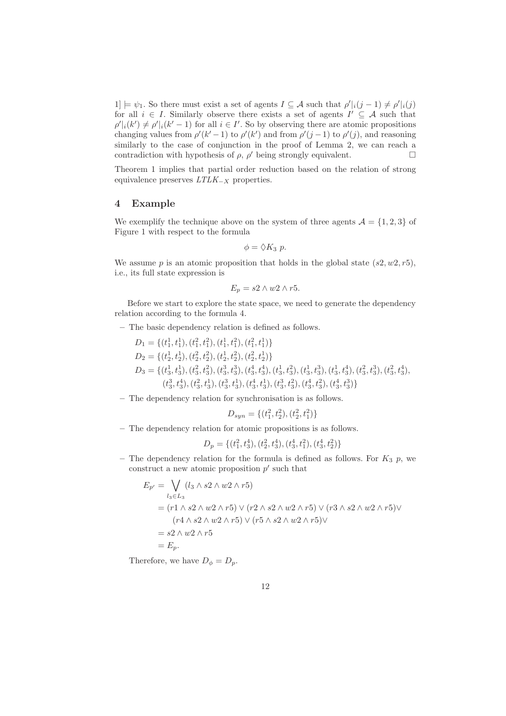$1] \models \psi_1$ . So there must exist a set of agents  $I \subseteq \mathcal{A}$  such that  $\rho' \mid_i (j-1) \neq \rho' \mid_i (j)$ for all  $i \in I$ . Similarly observe there exists a set of agents  $I' \subseteq A$  such that  $\rho' \mid_i (k') \neq \rho' \mid_i (k'-1)$  for all  $i \in I'$ . So by observing there are atomic propositions changing values from  $\rho'(k'-1)$  to  $\rho'(k')$  and from  $\rho'(j-1)$  to  $\rho'(j)$ , and reasoning similarly to the case of conjunction in the proof of Lemma 2, we can reach a contradiction with hypothesis of  $\rho$ ,  $\rho'$  being strongly equivalent.

Theorem 1 implies that partial order reduction based on the relation of strong equivalence preserves  $LTLK_{-X}$  properties.

#### 4 Example

We exemplify the technique above on the system of three agents  $\mathcal{A} = \{1, 2, 3\}$  of Figure 1 with respect to the formula

$$
\phi = \lozenge K_3 p.
$$

We assume p is an atomic proposition that holds in the global state  $(s2, w2, r5)$ , i.e., its full state expression is

$$
E_p = s2 \wedge w2 \wedge r5.
$$

Before we start to explore the state space, we need to generate the dependency relation according to the formula 4.

- The basic dependency relation is defined as follows.
	- $D_1 = \{(t_1^1, t_1^1), (t_1^2, t_1^2), (t_1^1, t_1^2), (t_1^2, t_1^1)\}\$  $D_2 = \{(t_2^1, t_2^1), (t_2^2, t_2^2), (t_2^1, t_2^2), (t_2^2, t_2^1)\}\$  $D_3 = \{(t_3^1, t_3^1), (t_3^2, t_3^2), (t_3^3, t_3^3), (t_3^4, t_3^4), (t_3^1, t_3^2), (t_3^1, t_3^3), (t_3^1, t_3^4), (t_3^2, t_3^3), (t_3^2, t_3^4),$  $(t_3^3, t_3^4), (t_3^2, t_3^1), (t_3^3, t_3^1), (t_3^4, t_3^1), (t_3^3, t_3^2), (t_3^4, t_3^2), (t_3^4, t_3^3) \}$

– The dependency relation for synchronisation is as follows.

$$
D_{syn} = \{(t_1^2, t_2^2), (t_2^2, t_1^2)\}
$$

– The dependency relation for atomic propositions is as follows.

$$
D_p = \{(t_1^2, t_3^4), (t_2^2, t_3^4), (t_3^4, t_1^2), (t_3^4, t_2^2)\}
$$

– The dependency relation for the formula is defined as follows. For  $K_3$  p, we construct a new atomic proposition  $p'$  such that

$$
E_{p'} = \bigvee_{l_3 \in L_3} (l_3 \wedge s2 \wedge w2 \wedge r5)
$$
  
=  $(r1 \wedge s2 \wedge w2 \wedge r5) \vee (r2 \wedge s2 \wedge w2 \wedge r5) \vee (r3 \wedge s2 \wedge w2 \wedge r5) \vee (r4 \wedge s2 \wedge w2 \wedge r5) \vee (r5 \wedge s2 \wedge w2 \wedge r5) \vee$   
=  $s2 \wedge w2 \wedge r5$   
=  $E_p$ .

Therefore, we have  $D_{\phi} = D_p$ .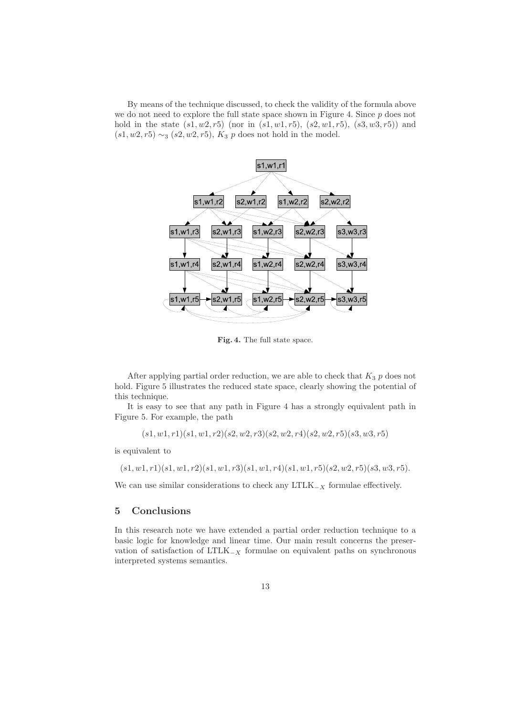By means of the technique discussed, to check the validity of the formula above we do not need to explore the full state space shown in Figure 4. Since  $p$  does not hold in the state  $(s1, w2, r5)$  (nor in  $(s1, w1, r5)$ ,  $(s2, w1, r5)$ ,  $(s3, w3, r5)$ ) and  $(s1, w2, r5) \sim_3 (s2, w2, r5)$ ,  $K_3$  p does not hold in the model.



Fig. 4. The full state space.

After applying partial order reduction, we are able to check that  $K_3$  p does not hold. Figure 5 illustrates the reduced state space, clearly showing the potential of this technique.

It is easy to see that any path in Figure 4 has a strongly equivalent path in Figure 5. For example, the path

$$
(s1, w1, r1)(s1, w1, r2)(s2, w2, r3)(s2, w2, r4)(s2, w2, r5)(s3, w3, r5)
$$

is equivalent to

$$
(s1, w1, r1)(s1, w1, r2)(s1, w1, r3)(s1, w1, r4)(s1, w1, r5)(s2, w2, r5)(s3, w3, r5).
$$

We can use similar considerations to check any  $LTLK_{-X}$  formulae effectively.

# 5 Conclusions

In this research note we have extended a partial order reduction technique to a basic logic for knowledge and linear time. Our main result concerns the preservation of satisfaction of LTLK $_{-X}$  formulae on equivalent paths on synchronous interpreted systems semantics.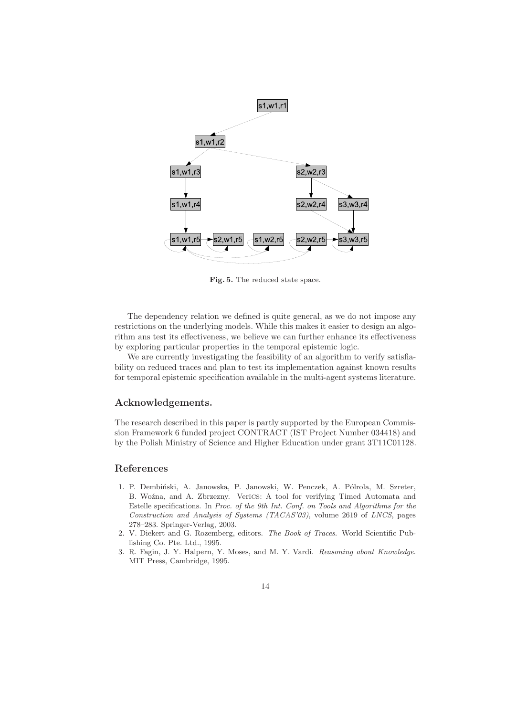

Fig. 5. The reduced state space.

The dependency relation we defined is quite general, as we do not impose any restrictions on the underlying models. While this makes it easier to design an algorithm ans test its effectiveness, we believe we can further enhance its effectiveness by exploring particular properties in the temporal epistemic logic.

We are currently investigating the feasibility of an algorithm to verify satisfiability on reduced traces and plan to test its implementation against known results for temporal epistemic specification available in the multi-agent systems literature.

#### Acknowledgements.

The research described in this paper is partly supported by the European Commission Framework 6 funded project CONTRACT (IST Project Number 034418) and by the Polish Ministry of Science and Higher Education under grant 3T11C01128.

### References

- 1. P. Dembiński, A. Janowska, P. Janowski, W. Penczek, A. Pólrola, M. Szreter, B. Woźna, and A. Zbrzezny. VerICS: A tool for verifying Timed Automata and Estelle specifications. In Proc. of the 9th Int. Conf. on Tools and Algorithms for the Construction and Analysis of Systems (TACAS'03), volume 2619 of LNCS, pages 278–283. Springer-Verlag, 2003.
- 2. V. Diekert and G. Rozemberg, editors. The Book of Traces. World Scientific Publishing Co. Pte. Ltd., 1995.
- 3. R. Fagin, J. Y. Halpern, Y. Moses, and M. Y. Vardi. Reasoning about Knowledge. MIT Press, Cambridge, 1995.